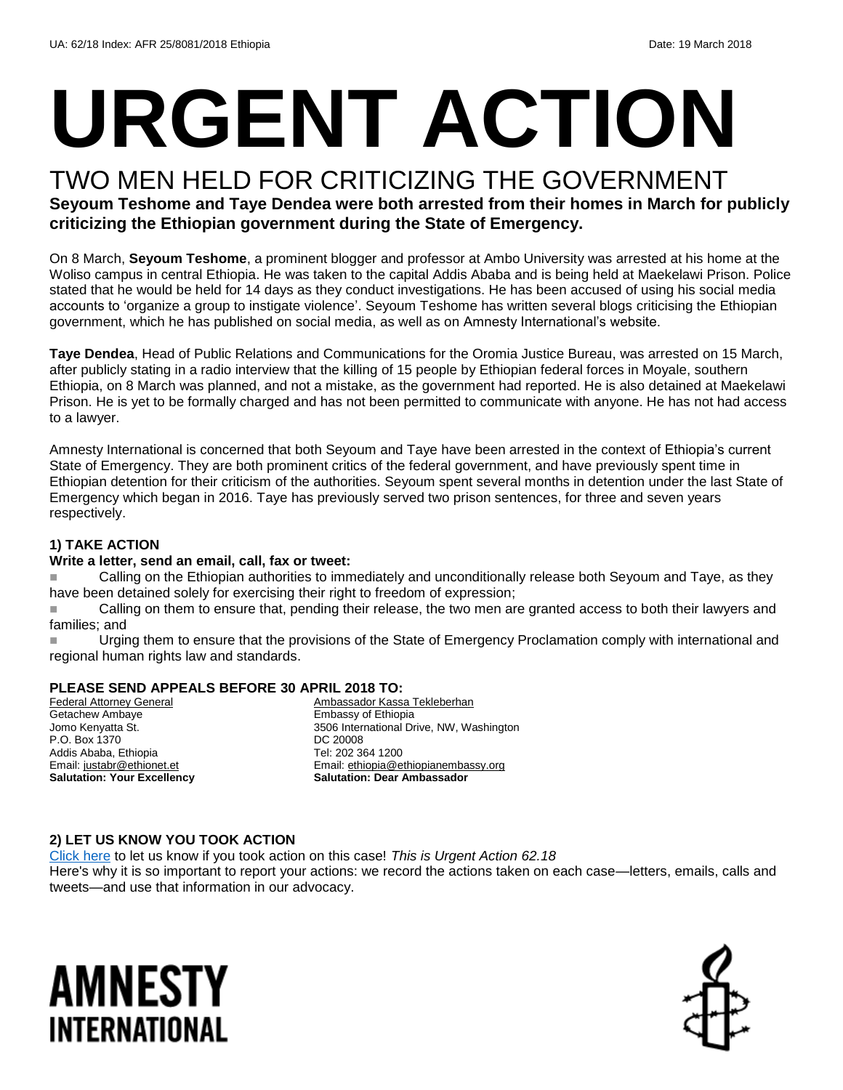# **URGENT ACTION**

## TWO MEN HELD FOR CRITICIZING THE GOVERNMENT

#### **Seyoum Teshome and Taye Dendea were both arrested from their homes in March for publicly criticizing the Ethiopian government during the State of Emergency.**

On 8 March, **Seyoum Teshome**, a prominent blogger and professor at Ambo University was arrested at his home at the Woliso campus in central Ethiopia. He was taken to the capital Addis Ababa and is being held at Maekelawi Prison. Police stated that he would be held for 14 days as they conduct investigations. He has been accused of using his social media accounts to 'organize a group to instigate violence'. Seyoum Teshome has written several blogs criticising the Ethiopian government, which he has published on social media, as well as on Amnesty International's website.

**Taye Dendea**, Head of Public Relations and Communications for the Oromia Justice Bureau, was arrested on 15 March, after publicly stating in a radio interview that the killing of 15 people by Ethiopian federal forces in Moyale, southern Ethiopia, on 8 March was planned, and not a mistake, as the government had reported. He is also detained at Maekelawi Prison. He is yet to be formally charged and has not been permitted to communicate with anyone. He has not had access to a lawyer.

Amnesty International is concerned that both Seyoum and Taye have been arrested in the context of Ethiopia's current State of Emergency. They are both prominent critics of the federal government, and have previously spent time in Ethiopian detention for their criticism of the authorities. Seyoum spent several months in detention under the last State of Emergency which began in 2016. Taye has previously served two prison sentences, for three and seven years respectively.

#### **1) TAKE ACTION**

#### **Write a letter, send an email, call, fax or tweet:**

 Calling on the Ethiopian authorities to immediately and unconditionally release both Seyoum and Taye, as they have been detained solely for exercising their right to freedom of expression;

Calling on them to ensure that, pending their release, the two men are granted access to both their lawyers and families; and

Urging them to ensure that the provisions of the State of Emergency Proclamation comply with international and regional human rights law and standards.

#### **PLEASE SEND APPEALS BEFORE 30 APRIL 2018 TO:**

Federal Attorney General Getachew Ambaye Jomo Kenyatta St. P.O. Box 1370 Addis Ababa, Ethiopia Email[: justabr@ethionet.et](mailto:justabr@ethionet.et) **Salutation: Your Excellency**

Ambassador Kassa Tekleberhan Embassy of Ethiopia 3506 International Drive, NW, Washington DC 20008 Tel: 202 364 1200 Email[: ethiopia@ethiopianembassy.org](mailto:ethiopia@ethiopianembassy.org) **Salutation: Dear Ambassador**

#### **2) LET US KNOW YOU TOOK ACTION**

[Click here](https://www.amnestyusa.org/report-urgent-actions/) to let us know if you took action on this case! *This is Urgent Action 62.18* Here's why it is so important to report your actions: we record the actions taken on each case—letters, emails, calls and

tweets—and use that information in our advocacy.